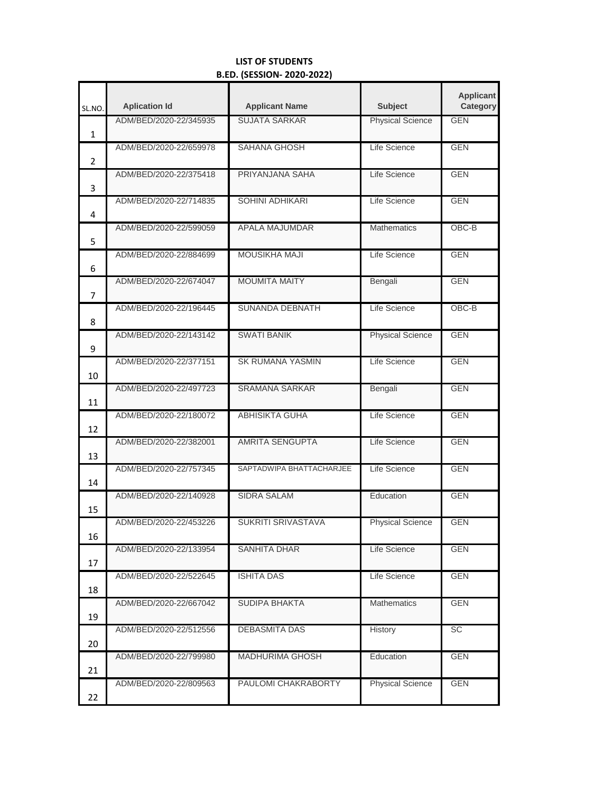## **LIST OF STUDENTS B.ED. (SESSION- 2020-2022)**

| SL.NO.       | <b>Aplication Id</b>   | <b>Applicant Name</b>    | <b>Subject</b>          | <b>Applicant</b><br>Category |
|--------------|------------------------|--------------------------|-------------------------|------------------------------|
| $\mathbf{1}$ | ADM/BED/2020-22/345935 | <b>SUJATA SARKAR</b>     | <b>Physical Science</b> | <b>GEN</b>                   |
| 2            | ADM/BED/2020-22/659978 | SAHANA GHOSH             | Life Science            | <b>GEN</b>                   |
| 3            | ADM/BED/2020-22/375418 | PRIYANJANA SAHA          | Life Science            | <b>GEN</b>                   |
| 4            | ADM/BED/2020-22/714835 | <b>SOHINI ADHIKARI</b>   | Life Science            | <b>GEN</b>                   |
| 5            | ADM/BED/2020-22/599059 | APALA MAJUMDAR           | <b>Mathematics</b>      | $OBC-B$                      |
| 6            | ADM/BED/2020-22/884699 | <b>MOUSIKHA MAJI</b>     | Life Science            | <b>GEN</b>                   |
| 7            | ADM/BED/2020-22/674047 | <b>MOUMITA MAITY</b>     | Bengali                 | <b>GEN</b>                   |
| 8            | ADM/BED/2020-22/196445 | <b>SUNANDA DEBNATH</b>   | Life Science            | OBC-B                        |
| 9            | ADM/BED/2020-22/143142 | <b>SWATI BANIK</b>       | <b>Physical Science</b> | <b>GEN</b>                   |
| 10           | ADM/BED/2020-22/377151 | <b>SK RUMANA YASMIN</b>  | Life Science            | <b>GEN</b>                   |
| 11           | ADM/BED/2020-22/497723 | <b>SRAMANA SARKAR</b>    | Bengali                 | <b>GEN</b>                   |
| 12           | ADM/BED/2020-22/180072 | <b>ABHISIKTA GUHA</b>    | Life Science            | <b>GEN</b>                   |
| 13           | ADM/BED/2020-22/382001 | <b>AMRITA SENGUPTA</b>   | Life Science            | <b>GEN</b>                   |
| 14           | ADM/BED/2020-22/757345 | SAPTADWIPA BHATTACHARJEE | Life Science            | <b>GEN</b>                   |
| 15           | ADM/BED/2020-22/140928 | <b>SIDRA SALAM</b>       | Education               | <b>GEN</b>                   |
| 16           | ADM/BED/2020-22/453226 | SUKRITI SRIVASTAVA       | <b>Physical Science</b> | <b>GEN</b>                   |
| 17           | ADM/BED/2020-22/133954 | <b>SANHITA DHAR</b>      | Life Science            | <b>GEN</b>                   |
| 18           | ADM/BED/2020-22/522645 | <b>ISHITA DAS</b>        | Life Science            | <b>GEN</b>                   |
| 19           | ADM/BED/2020-22/667042 | <b>SUDIPA BHAKTA</b>     | <b>Mathematics</b>      | <b>GEN</b>                   |
| 20           | ADM/BED/2020-22/512556 | <b>DEBASMITA DAS</b>     | History                 | SC                           |
| 21           | ADM/BED/2020-22/799980 | <b>MADHURIMA GHOSH</b>   | Education               | <b>GEN</b>                   |
| 22           | ADM/BED/2020-22/809563 | PAULOMI CHAKRABORTY      | <b>Physical Science</b> | <b>GEN</b>                   |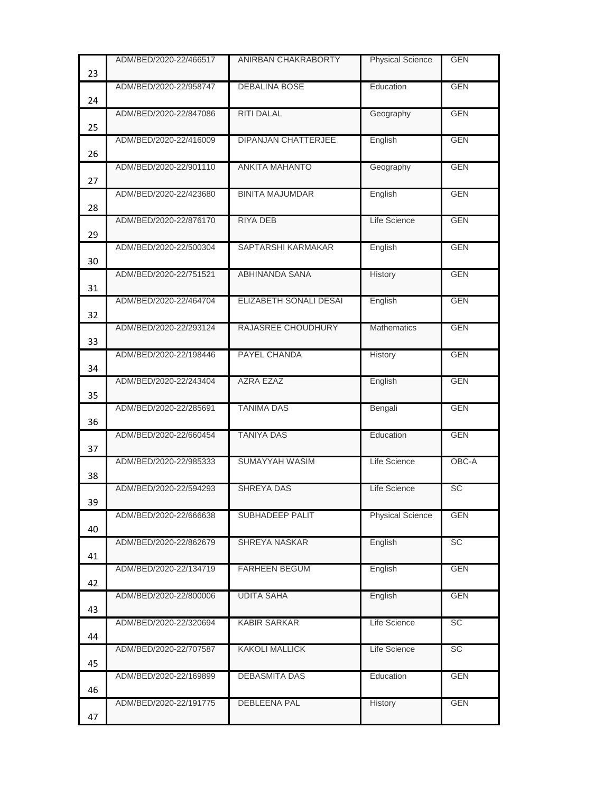| 23 | ADM/BED/2020-22/466517 | ANIRBAN CHAKRABORTY        | <b>Physical Science</b> | <b>GEN</b> |
|----|------------------------|----------------------------|-------------------------|------------|
| 24 | ADM/BED/2020-22/958747 | <b>DEBALINA BOSE</b>       | Education               | <b>GEN</b> |
| 25 | ADM/BED/2020-22/847086 | <b>RITI DALAL</b>          | Geography               | <b>GEN</b> |
| 26 | ADM/BED/2020-22/416009 | <b>DIPANJAN CHATTERJEE</b> | English                 | <b>GEN</b> |
| 27 | ADM/BED/2020-22/901110 | <b>ANKITA MAHANTO</b>      | Geography               | <b>GEN</b> |
| 28 | ADM/BED/2020-22/423680 | <b>BINITA MAJUMDAR</b>     | English                 | <b>GEN</b> |
| 29 | ADM/BED/2020-22/876170 | <b>RIYA DEB</b>            | Life Science            | <b>GEN</b> |
| 30 | ADM/BED/2020-22/500304 | SAPTARSHI KARMAKAR         | English                 | <b>GEN</b> |
| 31 | ADM/BED/2020-22/751521 | ABHINANDA SANA             | History                 | <b>GEN</b> |
| 32 | ADM/BED/2020-22/464704 | ELIZABETH SONALI DESAI     | English                 | <b>GEN</b> |
| 33 | ADM/BED/2020-22/293124 | RAJASREE CHOUDHURY         | <b>Mathematics</b>      | <b>GEN</b> |
| 34 | ADM/BED/2020-22/198446 | PAYEL CHANDA               | <b>History</b>          | <b>GEN</b> |
| 35 | ADM/BED/2020-22/243404 | <b>AZRA EZAZ</b>           | English                 | <b>GEN</b> |
| 36 | ADM/BED/2020-22/285691 | <b>TANIMA DAS</b>          | Bengali                 | <b>GEN</b> |
| 37 | ADM/BED/2020-22/660454 | <b>TANIYA DAS</b>          | Education               | <b>GEN</b> |
| 38 | ADM/BED/2020-22/985333 | SUMAYYAH WASIM             | Life Science            | OBC-A      |
| 39 | ADM/BED/2020-22/594293 | <b>SHREYA DAS</b>          | Life Science            | <b>SC</b>  |
| 40 | ADM/BED/2020-22/666638 | SUBHADEEP PALIT            | <b>Physical Science</b> | <b>GEN</b> |
| 41 | ADM/BED/2020-22/862679 | SHREYA NASKAR              | English                 | <b>SC</b>  |
| 42 | ADM/BED/2020-22/134719 | FARHEEN BEGUM              | English                 | <b>GEN</b> |
| 43 | ADM/BED/2020-22/800006 | <b>UDITA SAHA</b>          | English                 | <b>GEN</b> |
| 44 | ADM/BED/2020-22/320694 | <b>KABIR SARKAR</b>        | Life Science            | <b>SC</b>  |
| 45 | ADM/BED/2020-22/707587 | <b>KAKOLI MALLICK</b>      | Life Science            | <b>SC</b>  |
|    | ADM/BED/2020-22/169899 | DEBASMITA DAS              | Education               | <b>GEN</b> |
| 46 | ADM/BED/2020-22/191775 | DEBLEENA PAL               | History                 | <b>GEN</b> |
| 47 |                        |                            |                         |            |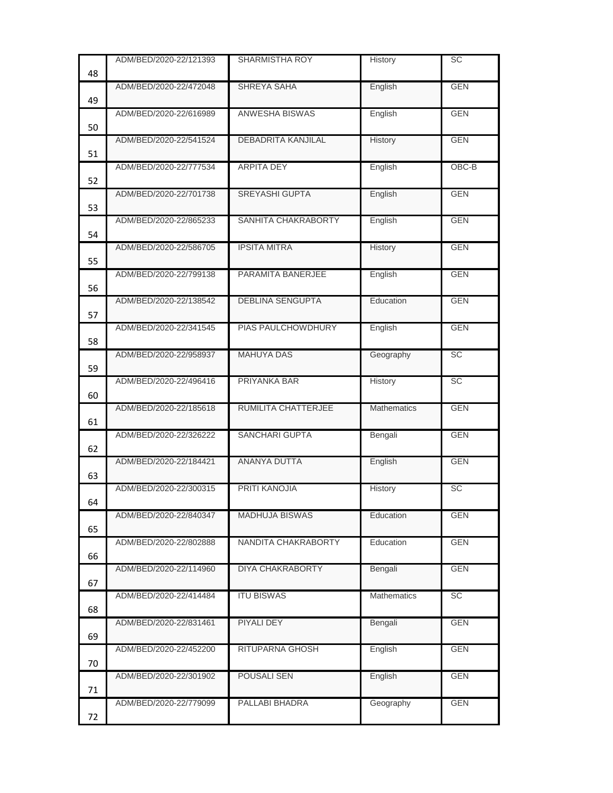|    | ADM/BED/2020-22/121393 | <b>SHARMISTHA ROY</b>     | <b>History</b>     | SC         |
|----|------------------------|---------------------------|--------------------|------------|
| 48 |                        |                           |                    |            |
| 49 | ADM/BED/2020-22/472048 | SHREYA SAHA               | English            | <b>GEN</b> |
| 50 | ADM/BED/2020-22/616989 | ANWESHA BISWAS            | English            | <b>GEN</b> |
| 51 | ADM/BED/2020-22/541524 | <b>DEBADRITA KANJILAL</b> | History            | <b>GEN</b> |
| 52 | ADM/BED/2020-22/777534 | <b>ARPITA DEY</b>         | English            | OBC-B      |
| 53 | ADM/BED/2020-22/701738 | <b>SREYASHI GUPTA</b>     | English            | <b>GEN</b> |
| 54 | ADM/BED/2020-22/865233 | SANHITA CHAKRABORTY       | English            | <b>GEN</b> |
| 55 | ADM/BED/2020-22/586705 | <b>IPSITA MITRA</b>       | History            | <b>GEN</b> |
|    | ADM/BED/2020-22/799138 | PARAMITA BANERJEE         | English            | <b>GEN</b> |
| 56 | ADM/BED/2020-22/138542 | <b>DEBLINA SENGUPTA</b>   | Education          | <b>GEN</b> |
| 57 | ADM/BED/2020-22/341545 | PIAS PAULCHOWDHURY        | English            | <b>GEN</b> |
| 58 | ADM/BED/2020-22/958937 | <b>MAHUYA DAS</b>         | Geography          | <b>SC</b>  |
| 59 | ADM/BED/2020-22/496416 | PRIYANKA BAR              | History            | SC         |
| 60 |                        |                           |                    |            |
| 61 | ADM/BED/2020-22/185618 | RUMILITA CHATTERJEE       | <b>Mathematics</b> | <b>GEN</b> |
| 62 | ADM/BED/2020-22/326222 | <b>SANCHARI GUPTA</b>     | Bengali            | <b>GEN</b> |
| 63 | ADM/BED/2020-22/184421 | <b>ANANYA DUTTA</b>       | English            | <b>GEN</b> |
| 64 | ADM/BED/2020-22/300315 | <b>PRITI KANOJIA</b>      | History            | <b>SC</b>  |
| 65 | ADM/BED/2020-22/840347 | MADHUJA BISWAS            | Education          | <b>GEN</b> |
| 66 | ADM/BED/2020-22/802888 | NANDITA CHAKRABORTY       | Education          | <b>GEN</b> |
| 67 | ADM/BED/2020-22/114960 | DIYA CHAKRABORTY          | Bengali            | <b>GEN</b> |
| 68 | ADM/BED/2020-22/414484 | <b>ITU BISWAS</b>         | Mathematics        | SC         |
| 69 | ADM/BED/2020-22/831461 | PIYALI DEY                | Bengali            | <b>GEN</b> |
| 70 | ADM/BED/2020-22/452200 | RITUPARNA GHOSH           | English            | <b>GEN</b> |
|    | ADM/BED/2020-22/301902 | POUSALI SEN               | English            | <b>GEN</b> |
| 71 |                        |                           |                    |            |
| 72 | ADM/BED/2020-22/779099 | PALLABI BHADRA            | Geography          | <b>GEN</b> |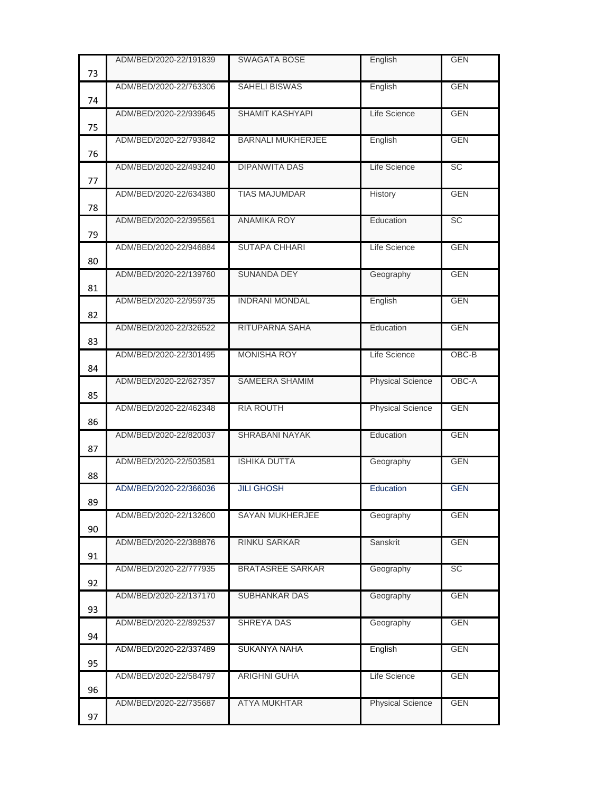|    | ADM/BED/2020-22/191839 | <b>SWAGATA BOSE</b>      | English                 | <b>GEN</b> |
|----|------------------------|--------------------------|-------------------------|------------|
| 73 |                        |                          |                         |            |
| 74 | ADM/BED/2020-22/763306 | <b>SAHELI BISWAS</b>     | English                 | <b>GEN</b> |
| 75 | ADM/BED/2020-22/939645 | <b>SHAMIT KASHYAPI</b>   | Life Science            | <b>GEN</b> |
| 76 | ADM/BED/2020-22/793842 | <b>BARNALI MUKHERJEE</b> | English                 | <b>GEN</b> |
| 77 | ADM/BED/2020-22/493240 | <b>DIPANWITA DAS</b>     | Life Science            | SC         |
| 78 | ADM/BED/2020-22/634380 | <b>TIAS MAJUMDAR</b>     | History                 | <b>GEN</b> |
| 79 | ADM/BED/2020-22/395561 | <b>ANAMIKA ROY</b>       | Education               | <b>SC</b>  |
| 80 | ADM/BED/2020-22/946884 | <b>SUTAPA CHHARI</b>     | Life Science            | <b>GEN</b> |
| 81 | ADM/BED/2020-22/139760 | <b>SUNANDA DEY</b>       | Geography               | <b>GEN</b> |
| 82 | ADM/BED/2020-22/959735 | <b>INDRANI MONDAL</b>    | English                 | <b>GEN</b> |
| 83 | ADM/BED/2020-22/326522 | <b>RITUPARNA SAHA</b>    | Education               | <b>GEN</b> |
| 84 | ADM/BED/2020-22/301495 | <b>MONISHA ROY</b>       | Life Science            | OBC-B      |
| 85 | ADM/BED/2020-22/627357 | SAMEERA SHAMIM           | <b>Physical Science</b> | OBC-A      |
| 86 | ADM/BED/2020-22/462348 | <b>RIA ROUTH</b>         | <b>Physical Science</b> | <b>GEN</b> |
| 87 | ADM/BED/2020-22/820037 | <b>SHRABANI NAYAK</b>    | Education               | <b>GEN</b> |
| 88 | ADM/BED/2020-22/503581 | <b>ISHIKA DUTTA</b>      | Geography               | <b>GEN</b> |
| 89 | ADM/BED/2020-22/366036 | <b>JILI GHOSH</b>        | Education               | <b>GEN</b> |
| 90 | ADM/BED/2020-22/132600 | SAYAN MUKHERJEE          | Geography               | <b>GEN</b> |
| 91 | ADM/BED/2020-22/388876 | <b>RINKU SARKAR</b>      | Sanskrit                | <b>GEN</b> |
| 92 | ADM/BED/2020-22/777935 | <b>BRATASREE SARKAR</b>  | Geography               | <b>SC</b>  |
| 93 | ADM/BED/2020-22/137170 | SUBHANKAR DAS            | Geography               | <b>GEN</b> |
| 94 | ADM/BED/2020-22/892537 | SHREYA DAS               | Geography               | <b>GEN</b> |
| 95 | ADM/BED/2020-22/337489 | <b>SUKANYA NAHA</b>      | English                 | <b>GEN</b> |
| 96 | ADM/BED/2020-22/584797 | <b>ARIGHNI GUHA</b>      | Life Science            | <b>GEN</b> |
| 97 | ADM/BED/2020-22/735687 | ATYA MUKHTAR             | <b>Physical Science</b> | <b>GEN</b> |